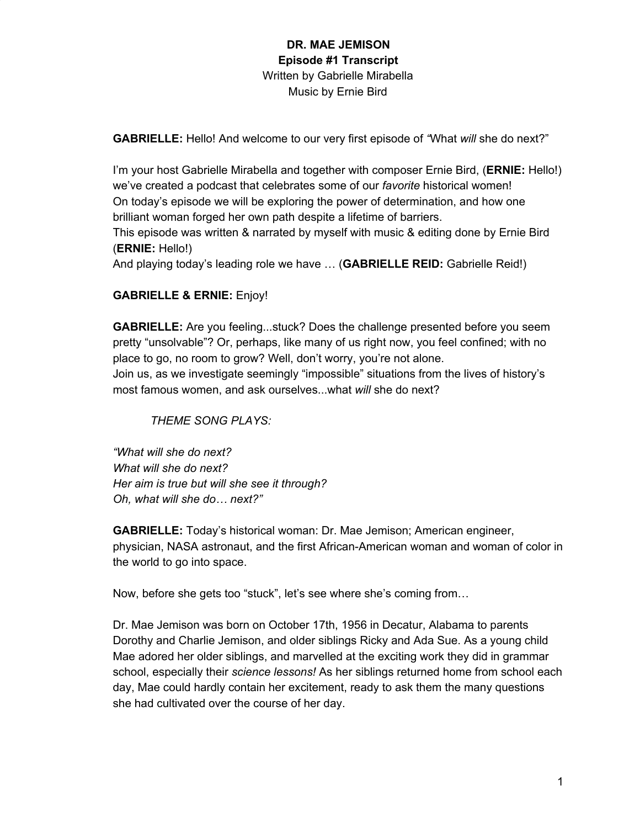**GABRIELLE:** Hello! And welcome to our very first episode of *"*What *will* she do next?"

I'm your host Gabrielle Mirabella and together with composer Ernie Bird, (**ERNIE:** Hello!) we've created a podcast that celebrates some of our *favorite* historical women! On today's episode we will be exploring the power of determination, and how one brilliant woman forged her own path despite a lifetime of barriers.

This episode was written & narrated by myself with music & editing done by Ernie Bird (**ERNIE:** Hello!)

And playing today's leading role we have … (**GABRIELLE REID:** Gabrielle Reid!)

### **GABRIELLE & ERNIE:** Enjoy!

**GABRIELLE:** Are you feeling...stuck? Does the challenge presented before you seem pretty "unsolvable"? Or, perhaps, like many of us right now, you feel confined; with no place to go, no room to grow? Well, don't worry, you're not alone. Join us, as we investigate seemingly "impossible" situations from the lives of history's most famous women, and ask ourselves...what *will* she do next?

*THEME SONG PLAYS:*

*"What will she do next? What will she do next? Her aim is true but will she see it through? Oh, what will she do… next?"*

**GABRIELLE:** Today's historical woman: Dr. Mae Jemison; American engineer, physician, NASA astronaut, and the first African-American woman and woman of color in the world to go into space.

Now, before she gets too "stuck", let's see where she's coming from…

Dr. Mae Jemison was born on October 17th, 1956 in Decatur, Alabama to parents Dorothy and Charlie Jemison, and older siblings Ricky and Ada Sue. As a young child Mae adored her older siblings, and marvelled at the exciting work they did in grammar school, especially their *science lessons!* As her siblings returned home from school each day, Mae could hardly contain her excitement, ready to ask them the many questions she had cultivated over the course of her day.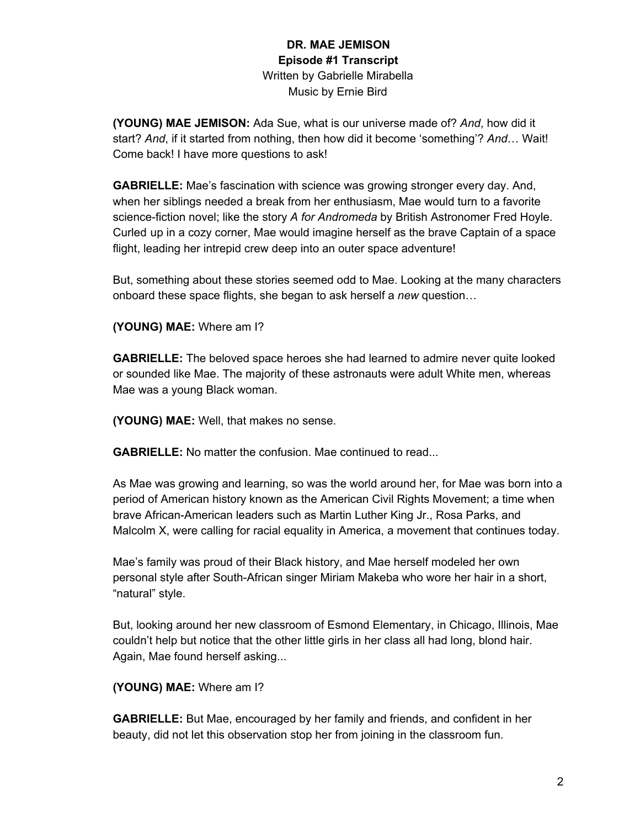**(YOUNG) MAE JEMISON:** Ada Sue, what is our universe made of? *And*, how did it start? *And*, if it started from nothing, then how did it become 'something'? *And*… Wait! Come back! I have more questions to ask!

**GABRIELLE:** Mae's fascination with science was growing stronger every day. And, when her siblings needed a break from her enthusiasm, Mae would turn to a favorite science-fiction novel; like the story *A for Andromeda* by British Astronomer Fred Hoyle. Curled up in a cozy corner, Mae would imagine herself as the brave Captain of a space flight, leading her intrepid crew deep into an outer space adventure!

But, something about these stories seemed odd to Mae. Looking at the many characters onboard these space flights, she began to ask herself a *new* question…

**(YOUNG) MAE:** Where am I?

**GABRIELLE:** The beloved space heroes she had learned to admire never quite looked or sounded like Mae. The majority of these astronauts were adult White men, whereas Mae was a young Black woman.

**(YOUNG) MAE:** Well, that makes no sense.

**GABRIELLE:** No matter the confusion. Mae continued to read...

As Mae was growing and learning, so was the world around her, for Mae was born into a period of American history known as the American Civil Rights Movement; a time when brave African-American leaders such as Martin Luther King Jr., Rosa Parks, and Malcolm X, were calling for racial equality in America, a movement that continues today.

Mae's family was proud of their Black history, and Mae herself modeled her own personal style after South-African singer Miriam Makeba who wore her hair in a short, "natural" style.

But, looking around her new classroom of Esmond Elementary, in Chicago, Illinois, Mae couldn't help but notice that the other little girls in her class all had long, blond hair. Again, Mae found herself asking...

**(YOUNG) MAE:** Where am I?

**GABRIELLE:** But Mae, encouraged by her family and friends, and confident in her beauty, did not let this observation stop her from joining in the classroom fun.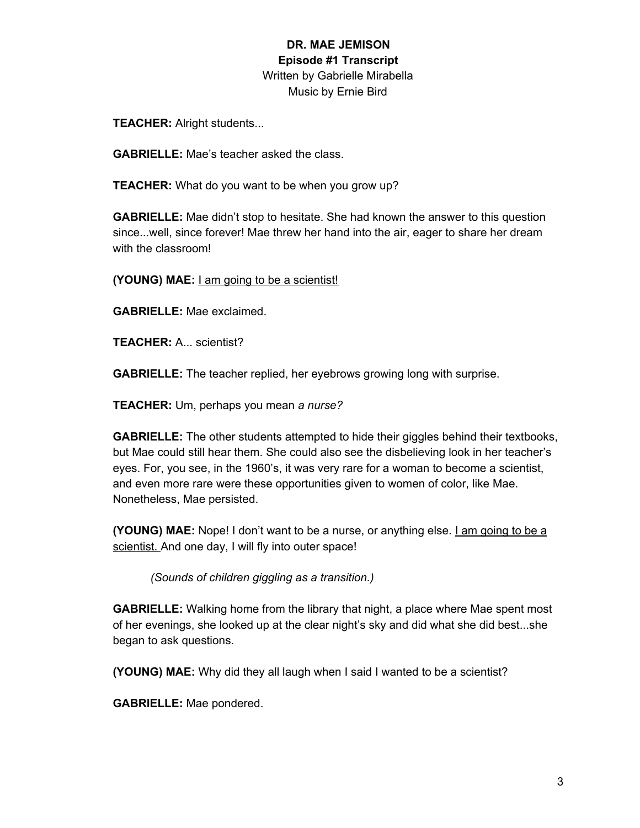**TEACHER:** Alright students...

**GABRIELLE:** Mae's teacher asked the class.

**TEACHER:** What do you want to be when you grow up?

**GABRIELLE:** Mae didn't stop to hesitate. She had known the answer to this question since...well, since forever! Mae threw her hand into the air, eager to share her dream with the classroom!

**(YOUNG) MAE:** I am going to be a scientist!

**GABRIELLE:** Mae exclaimed.

**TEACHER:** A... scientist?

**GABRIELLE:** The teacher replied, her eyebrows growing long with surprise.

**TEACHER:** Um, perhaps you mean *a nurse?*

**GABRIELLE:** The other students attempted to hide their giggles behind their textbooks, but Mae could still hear them. She could also see the disbelieving look in her teacher's eyes. For, you see, in the 1960's, it was very rare for a woman to become a scientist, and even more rare were these opportunities given to women of color, like Mae. Nonetheless, Mae persisted.

**(YOUNG) MAE:** Nope! I don't want to be a nurse, or anything else. I am going to be a scientist. And one day, I will fly into outer space!

*(Sounds of children giggling as a transition.)*

**GABRIELLE:** Walking home from the library that night, a place where Mae spent most of her evenings, she looked up at the clear night's sky and did what she did best...she began to ask questions.

**(YOUNG) MAE:** Why did they all laugh when I said I wanted to be a scientist?

**GABRIELLE:** Mae pondered.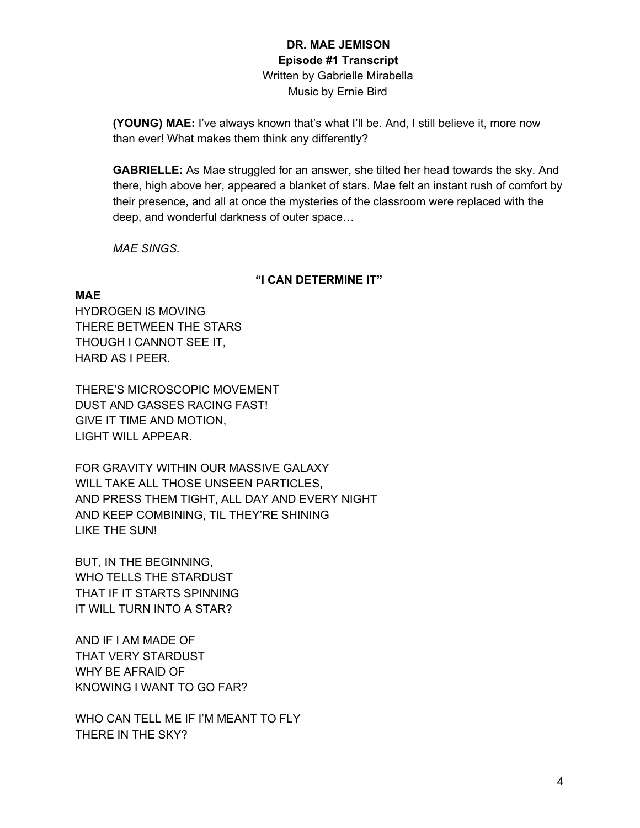**(YOUNG) MAE:** I've always known that's what I'll be. And, I still believe it, more now than ever! What makes them think any differently?

**GABRIELLE:** As Mae struggled for an answer, she tilted her head towards the sky. And there, high above her, appeared a blanket of stars. Mae felt an instant rush of comfort by their presence, and all at once the mysteries of the classroom were replaced with the deep, and wonderful darkness of outer space…

*MAE SINGS.*

### **"I CAN DETERMINE IT"**

### **MAE**

HYDROGEN IS MOVING THERE BETWEEN THE STARS THOUGH I CANNOT SEE IT, HARD AS I PEER.

THERE'S MICROSCOPIC MOVEMENT DUST AND GASSES RACING FAST! GIVE IT TIME AND MOTION, LIGHT WILL APPEAR.

FOR GRAVITY WITHIN OUR MASSIVE GALAXY WILL TAKE ALL THOSE UNSEEN PARTICLES, AND PRESS THEM TIGHT, ALL DAY AND EVERY NIGHT AND KEEP COMBINING, TIL THEY'RE SHINING LIKE THE SUN!

BUT, IN THE BEGINNING, WHO TELLS THE STARDUST THAT IF IT STARTS SPINNING IT WILL TURN INTO A STAR?

AND IF I AM MADE OF THAT VERY STARDUST WHY BE AFRAID OF KNOWING I WANT TO GO FAR?

WHO CAN TELL ME IF I'M MEANT TO FLY THERE IN THE SKY?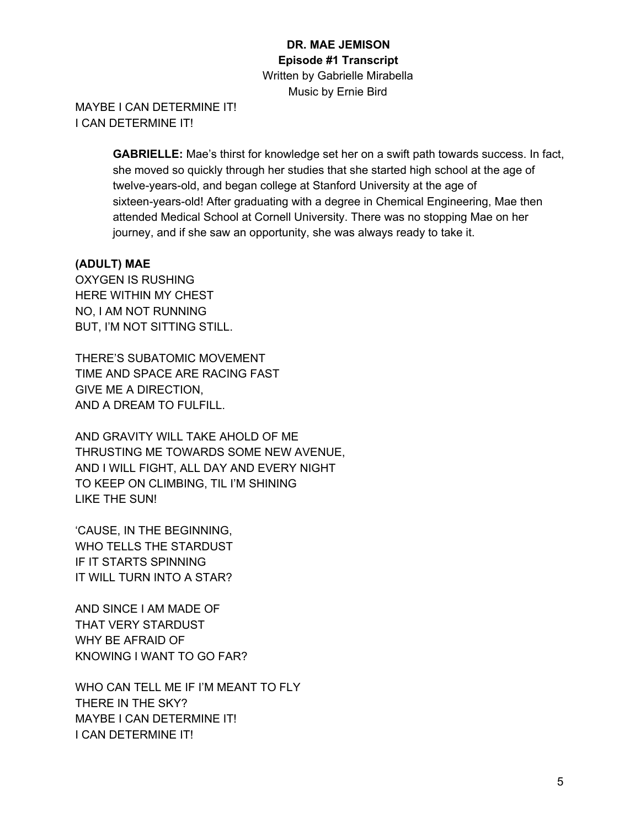MAYBE I CAN DETERMINE IT! I CAN DETERMINE IT!

> **GABRIELLE:** Mae's thirst for knowledge set her on a swift path towards success. In fact, she moved so quickly through her studies that she started high school at the age of twelve-years-old, and began college at Stanford University at the age of sixteen-years-old! After graduating with a degree in Chemical Engineering, Mae then attended Medical School at Cornell University. There was no stopping Mae on her journey, and if she saw an opportunity, she was always ready to take it.

### **(ADULT) MAE**

OXYGEN IS RUSHING HERE WITHIN MY CHEST NO, I AM NOT RUNNING BUT, I'M NOT SITTING STILL.

THERE'S SUBATOMIC MOVEMENT TIME AND SPACE ARE RACING FAST GIVE ME A DIRECTION, AND A DREAM TO FULFILL.

AND GRAVITY WILL TAKE AHOLD OF ME THRUSTING ME TOWARDS SOME NEW AVENUE, AND I WILL FIGHT, ALL DAY AND EVERY NIGHT TO KEEP ON CLIMBING, TIL I'M SHINING LIKE THE SUN!

'CAUSE, IN THE BEGINNING, WHO TELLS THE STARDUST IF IT STARTS SPINNING IT WILL TURN INTO A STAR?

AND SINCE I AM MADE OF THAT VERY STARDUST WHY BE AFRAID OF KNOWING I WANT TO GO FAR?

WHO CAN TELL ME IF I'M MEANT TO FLY THERE IN THE SKY? MAYBE I CAN DETERMINE IT! I CAN DETERMINE IT!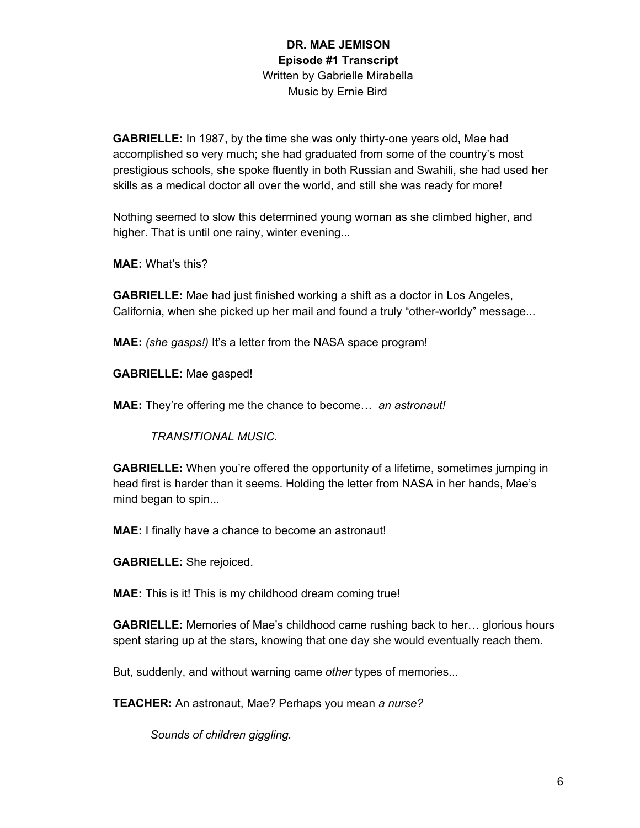**GABRIELLE:** In 1987, by the time she was only thirty-one years old, Mae had accomplished so very much; she had graduated from some of the country's most prestigious schools, she spoke fluently in both Russian and Swahili, she had used her skills as a medical doctor all over the world, and still she was ready for more!

Nothing seemed to slow this determined young woman as she climbed higher, and higher. That is until one rainy, winter evening...

**MAE:** What's this?

**GABRIELLE:** Mae had just finished working a shift as a doctor in Los Angeles, California, when she picked up her mail and found a truly "other-worldy" message...

**MAE:** *(she gasps!)* It's a letter from the NASA space program!

**GABRIELLE:** Mae gasped!

**MAE:** They're offering me the chance to become… *an astronaut!*

*TRANSITIONAL MUSIC.*

**GABRIELLE:** When you're offered the opportunity of a lifetime, sometimes jumping in head first is harder than it seems. Holding the letter from NASA in her hands, Mae's mind began to spin...

**MAE:** I finally have a chance to become an astronaut!

**GABRIELLE:** She rejoiced.

**MAE:** This is it! This is my childhood dream coming true!

**GABRIELLE:** Memories of Mae's childhood came rushing back to her… glorious hours spent staring up at the stars, knowing that one day she would eventually reach them.

But, suddenly, and without warning came *other* types of memories...

**TEACHER:** An astronaut, Mae? Perhaps you mean *a nurse?*

*Sounds of children giggling.*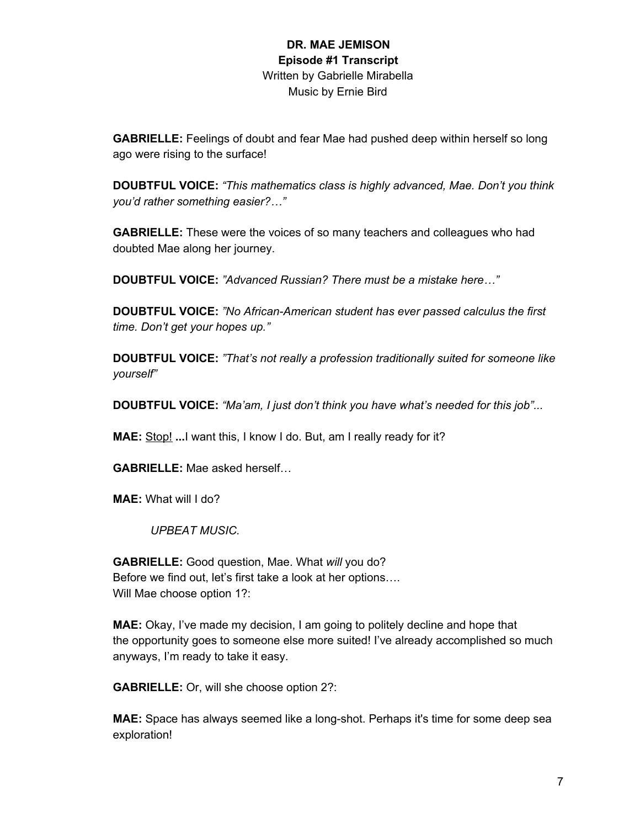**GABRIELLE:** Feelings of doubt and fear Mae had pushed deep within herself so long ago were rising to the surface!

**DOUBTFUL VOICE:** *"This mathematics class is highly advanced, Mae. Don't you think you'd rather something easier?…"*

**GABRIELLE:** These were the voices of so many teachers and colleagues who had doubted Mae along her journey.

**DOUBTFUL VOICE:** *"Advanced Russian? There must be a mistake here…"*

**DOUBTFUL VOICE:** *"No African-American student has ever passed calculus the first time. Don't get your hopes up."*

**DOUBTFUL VOICE:** *"That's not really a profession traditionally suited for someone like yourself"*

**DOUBTFUL VOICE:** *"Ma'am, I just don't think you have what's needed for this job"...*

**MAE:** Stop! **...**I want this, I know I do. But, am I really ready for it?

**GABRIELLE:** Mae asked herself…

**MAE:** What will I do?

*UPBEAT MUSIC.*

**GABRIELLE:** Good question, Mae. What *will* you do? Before we find out, let's first take a look at her options…. Will Mae choose option 1?:

**MAE:** Okay, I've made my decision, I am going to politely decline and hope that the opportunity goes to someone else more suited! I've already accomplished so much anyways, I'm ready to take it easy.

**GABRIELLE:** Or, will she choose option 2?:

**MAE:** Space has always seemed like a long-shot. Perhaps it's time for some deep sea exploration!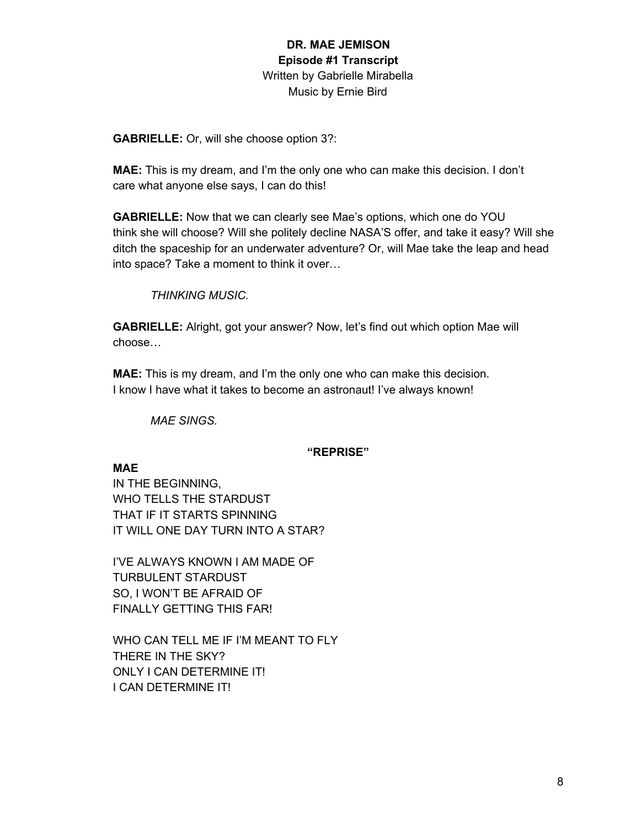**GABRIELLE:** Or, will she choose option 3?:

**MAE:** This is my dream, and I'm the only one who can make this decision. I don't care what anyone else says, I can do this!

**GABRIELLE:** Now that we can clearly see Mae's options, which one do YOU think she will choose? Will she politely decline NASA'S offer, and take it easy? Will she ditch the spaceship for an underwater adventure? Or, will Mae take the leap and head into space? Take a moment to think it over…

*THINKING MUSIC.*

**GABRIELLE:** Alright, got your answer? Now, let's find out which option Mae will choose…

**MAE:** This is my dream, and I'm the only one who can make this decision. I know I have what it takes to become an astronaut! I've always known!

*MAE SINGS.*

### **"REPRISE"**

### **MAE**

IN THE BEGINNING, WHO TELLS THE STARDUST THAT IF IT STARTS SPINNING IT WILL ONE DAY TURN INTO A STAR?

I'VE ALWAYS KNOWN I AM MADE OF TURBULENT STARDUST SO, I WON'T BE AFRAID OF FINALLY GETTING THIS FAR!

WHO CAN TELL ME IF I'M MEANT TO FLY THERE IN THE SKY? ONLY I CAN DETERMINE IT! I CAN DETERMINE IT!